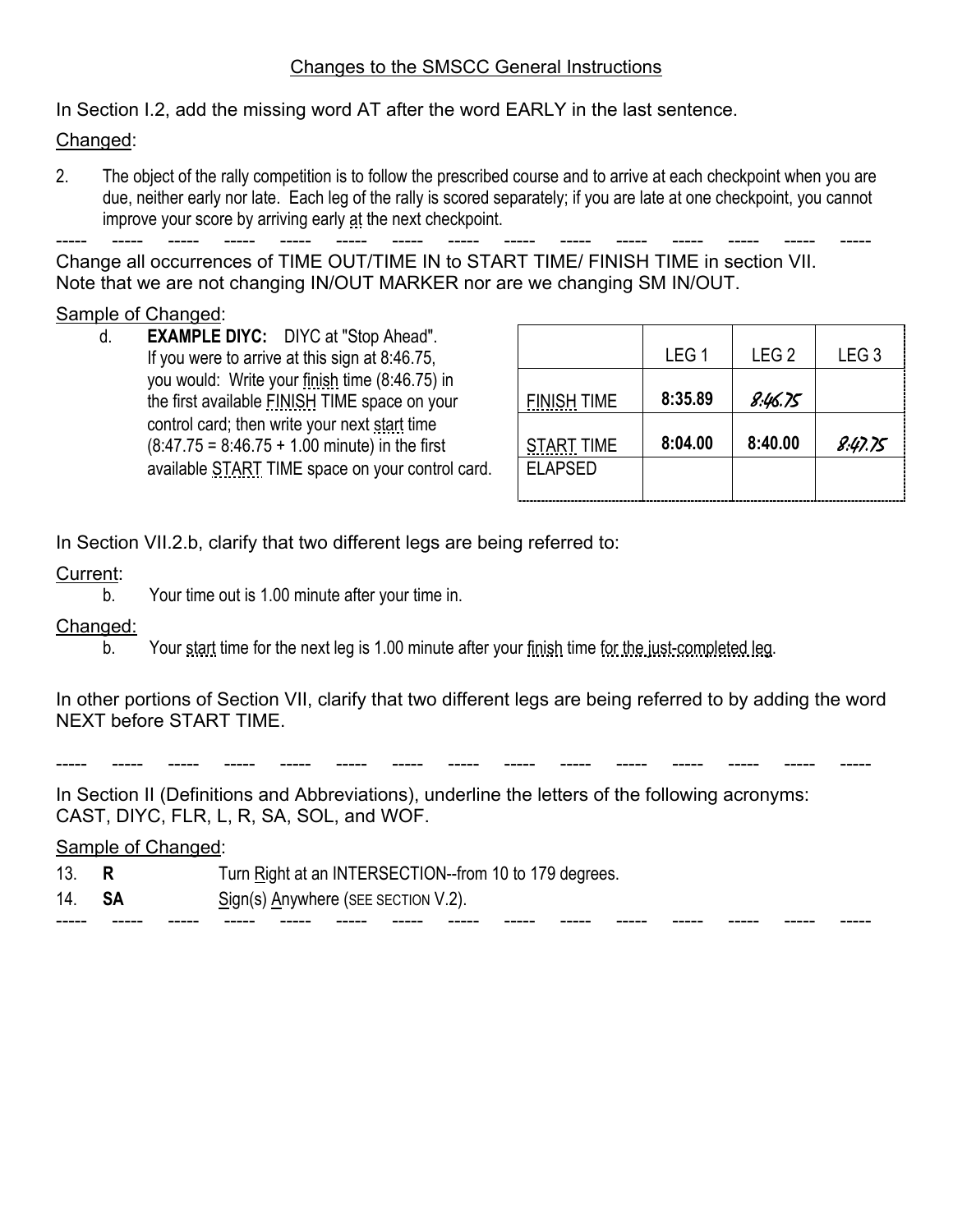## Changes to the SMSCC General Instructions

In Section I.2, add the missing word AT after the word EARLY in the last sentence.

### Changed:

2. The object of the rally competition is to follow the prescribed course and to arrive at each checkpoint when you are due, neither early nor late. Each leg of the rally is scored separately; if you are late at one checkpoint, you cannot improve your score by arriving early at the next checkpoint.

----- ----- ----- ----- ----- ----- ----- ----- ----- ----- ----- ----- ----- ----- ----- Change all occurrences of TIME OUT/TIME IN to START TIME/ FINISH TIME in section VII. Note that we are not changing IN/OUT MARKER nor are we changing SM IN/OUT.

### Sample of Changed:

d. **EXAMPLE DIYC:** DIYC at "Stop Ahead". If you were to arrive at this sign at  $8:46.75$ , you would: Write your finish time (8:46.75) in the first available **FINISH TIME** space on your control card; then write your next start time  $(8:47.75 = 8:46.75 + 1.00$  minute) in the first available START TIME space on your control card.

|                    | LEG <sub>1</sub> | LEG <sub>2</sub> | LEG <sub>3</sub> |
|--------------------|------------------|------------------|------------------|
| <b>FINISH TIME</b> | 8:35.89          | 8.46.75          |                  |
| <b>START TIME</b>  | 8:04.00          | 8:40.00          | 8.47.75          |
| <b>ELAPSED</b>     |                  |                  |                  |

In Section VII.2.b, clarify that two different legs are being referred to:

### Current:

b. Your time out is 1.00 minute after your time in.

## Changed:

b. Your start time for the next leg is 1.00 minute after your finish time for the just-completed leg.

In other portions of Section VII, clarify that two different legs are being referred to by adding the word NEXT before START TIME.

----- ----- ----- ----- ----- ----- ----- ----- ----- ----- ----- ----- ----- ----- -----

----- ----- ----- ----- ----- ----- ----- ----- ----- ----- ----- ----- ----- ----- -----

In Section II (Definitions and Abbreviations), underline the letters of the following acronyms: CAST, DIYC, FLR, L, R, SA, SOL, and WOF.

#### Sample of Changed:

- 13. **R** Turn Right at an INTERSECTION--from 10 to 179 degrees.
- 14. **SA** Sign(s) Anywhere (SEE SECTION V.2).